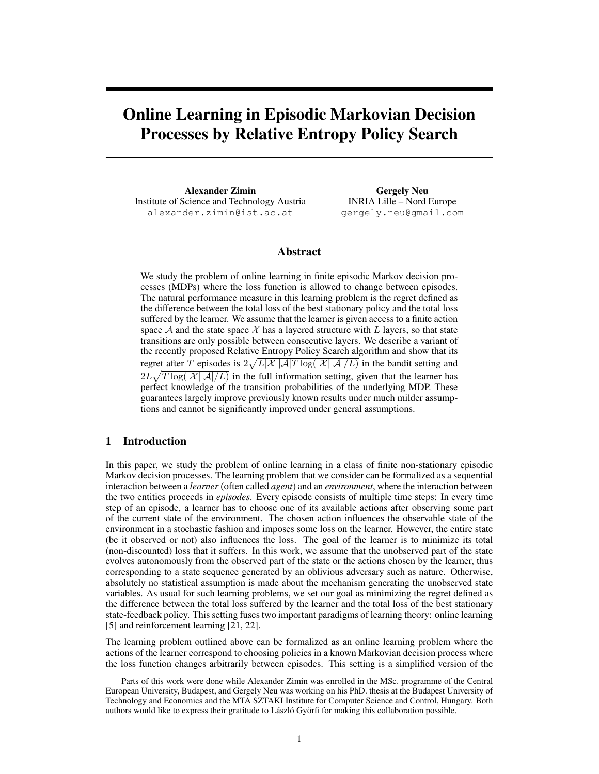# Online Learning in Episodic Markovian Decision Processes by Relative Entropy Policy Search

Alexander Zimin Institute of Science and Technology Austria alexander.zimin@ist.ac.at

Gergely Neu INRIA Lille – Nord Europe gergely.neu@gmail.com

## Abstract

We study the problem of online learning in finite episodic Markov decision processes (MDPs) where the loss function is allowed to change between episodes. The natural performance measure in this learning problem is the regret defined as the difference between the total loss of the best stationary policy and the total loss suffered by the learner. We assume that the learner is given access to a finite action space  $A$  and the state space  $X$  has a layered structure with L layers, so that state transitions are only possible between consecutive layers. We describe a variant of the recently proposed Relative Entropy Policy Search algorithm and show that its regret after T episodes is  $2\sqrt{L|\mathcal{X}||\mathcal{A}|T \log(|\mathcal{X}||\mathcal{A}|/L)}$  in the bandit setting and  $2L\sqrt{T \log(|\mathcal{X}||\mathcal{A}|/L)}$  in the full information setting, given that the learner has perfect knowledge of the transition probabilities of the underlying MDP. These guarantees largely improve previously known results under much milder assumptions and cannot be significantly improved under general assumptions.

## 1 Introduction

In this paper, we study the problem of online learning in a class of finite non-stationary episodic Markov decision processes. The learning problem that we consider can be formalized as a sequential interaction between a *learner* (often called *agent*) and an *environment*, where the interaction between the two entities proceeds in *episodes*. Every episode consists of multiple time steps: In every time step of an episode, a learner has to choose one of its available actions after observing some part of the current state of the environment. The chosen action influences the observable state of the environment in a stochastic fashion and imposes some loss on the learner. However, the entire state (be it observed or not) also influences the loss. The goal of the learner is to minimize its total (non-discounted) loss that it suffers. In this work, we assume that the unobserved part of the state evolves autonomously from the observed part of the state or the actions chosen by the learner, thus corresponding to a state sequence generated by an oblivious adversary such as nature. Otherwise, absolutely no statistical assumption is made about the mechanism generating the unobserved state variables. As usual for such learning problems, we set our goal as minimizing the regret defined as the difference between the total loss suffered by the learner and the total loss of the best stationary state-feedback policy. This setting fuses two important paradigms of learning theory: online learning [5] and reinforcement learning [21, 22].

The learning problem outlined above can be formalized as an online learning problem where the actions of the learner correspond to choosing policies in a known Markovian decision process where the loss function changes arbitrarily between episodes. This setting is a simplified version of the

Parts of this work were done while Alexander Zimin was enrolled in the MSc. programme of the Central European University, Budapest, and Gergely Neu was working on his PhD. thesis at the Budapest University of Technology and Economics and the MTA SZTAKI Institute for Computer Science and Control, Hungary. Both authors would like to express their gratitude to László Györfi for making this collaboration possible.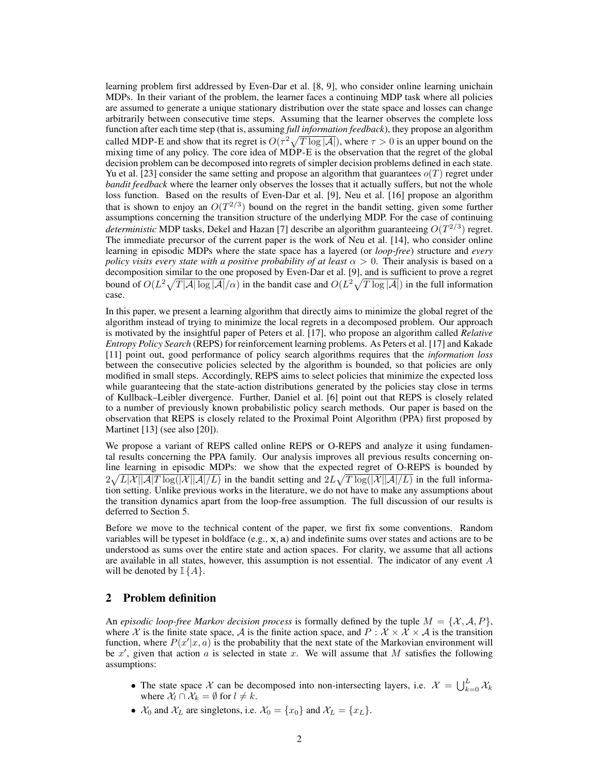learning problem first addressed by Even-Dar et al. [8, 9], who consider online learning unichain MDPs. In their variant of the problem, the learner faces a continuing MDP task where all policies are assumed to generate a unique stationary distribution over the state space and losses can change arbitrarily between consecutive time steps. Assuming that the learner observes the complete loss function after each time step (that is, assuming *full information feedback*), they propose an algorithm called MDP-E and show that its regret is  $O(\tau^2 \sqrt{T \log |\mathcal{A}|})$ , where  $\tau > 0$  is an upper bound on the mixing time of any policy. The core idea of MDP-E is the observation that the regret of the global decision problem can be decomposed into regrets of simpler decision problems defined in each state. Yu et al. [23] consider the same setting and propose an algorithm that guarantees  $o(T)$  regret under *bandit feedback* where the learner only observes the losses that it actually suffers, but not the whole loss function. Based on the results of Even-Dar et al. [9], Neu et al. [16] propose an algorithm that is shown to enjoy an  $O(T^{2/3})$  bound on the regret in the bandit setting, given some further assumptions concerning the transition structure of the underlying MDP. For the case of continuing *deterministic* MDP tasks, Dekel and Hazan [7] describe an algorithm guaranteeing  $O(T^{2/3})$  regret. The immediate precursor of the current paper is the work of Neu et al. [14], who consider online learning in episodic MDPs where the state space has a layered (or *loop-free*) structure and *every policy visits every state with a positive probability of at least*  $\alpha > 0$ . Their analysis is based on a decomposition similar to the one proposed by Even-Dar et al. [9], and is sufficient to prove a regret bound of  $O(L^2 \sqrt{T|A| \log |A|}/\alpha)$  in the bandit case and  $O(L^2 \sqrt{T \log |A|})$  in the full information case.

In this paper, we present a learning algorithm that directly aims to minimize the global regret of the algorithm instead of trying to minimize the local regrets in a decomposed problem. Our approach is motivated by the insightful paper of Peters et al. [17], who propose an algorithm called *Relative Entropy Policy Search* (REPS) for reinforcement learning problems. As Peters et al. [17] and Kakade [11] point out, good performance of policy search algorithms requires that the *information loss* between the consecutive policies selected by the algorithm is bounded, so that policies are only modified in small steps. Accordingly, REPS aims to select policies that minimize the expected loss while guaranteeing that the state-action distributions generated by the policies stay close in terms of Kullback–Leibler divergence. Further, Daniel et al. [6] point out that REPS is closely related to a number of previously known probabilistic policy search methods. Our paper is based on the observation that REPS is closely related to the Proximal Point Algorithm (PPA) first proposed by Martinet [13] (see also [20]).

We propose a variant of REPS called online REPS or O-REPS and analyze it using fundamental results concerning the PPA family. Our analysis improves all previous results concerning online learning in episodic MDPs: we show that the expected regret of O-REPS is bounded by  $2\sqrt{L|\mathcal{X}||\mathcal{A}|T\log(|\mathcal{X}||\mathcal{A}|/L)}$  in the bandit setting and  $2L\sqrt{T\log(|\mathcal{X}||\mathcal{A}|/L)}$  in the full information setting. Unlike previous works in the literature, we do not have to make any assumptions about the transition dynamics apart from the loop-free assumption. The full discussion of our results is deferred to Section 5.

Before we move to the technical content of the paper, we first fix some conventions. Random variables will be typeset in boldface  $(e.g., x, a)$  and indefinite sums over states and actions are to be understood as sums over the entire state and action spaces. For clarity, we assume that all actions are available in all states, however, this assumption is not essential. The indicator of any event  $A$ will be denoted by  $\mathbb{I} \{A\}.$ 

#### 2 Problem definition

An *episodic loop-free Markov decision process* is formally defined by the tuple  $M = \{X, A, P\}$ , where X is the finite state space, A is the finite action space, and  $P : \mathcal{X} \times \mathcal{X} \times \mathcal{A}$  is the transition function, where  $P(x'|x, a)$  is the probability that the next state of the Markovian environment will be  $x'$ , given that action  $\alpha$  is selected in state  $x$ . We will assume that  $M$  satisfies the following assumptions:

- The state space X can be decomposed into non-intersecting layers, i.e.  $X = \bigcup_{k=0}^{L} X_k$ where  $\mathcal{X}_l \cap \mathcal{X}_k = \emptyset$  for  $l \neq k$ .
- $\mathcal{X}_0$  and  $\mathcal{X}_L$  are singletons, i.e.  $\mathcal{X}_0 = \{x_0\}$  and  $\mathcal{X}_L = \{x_L\}.$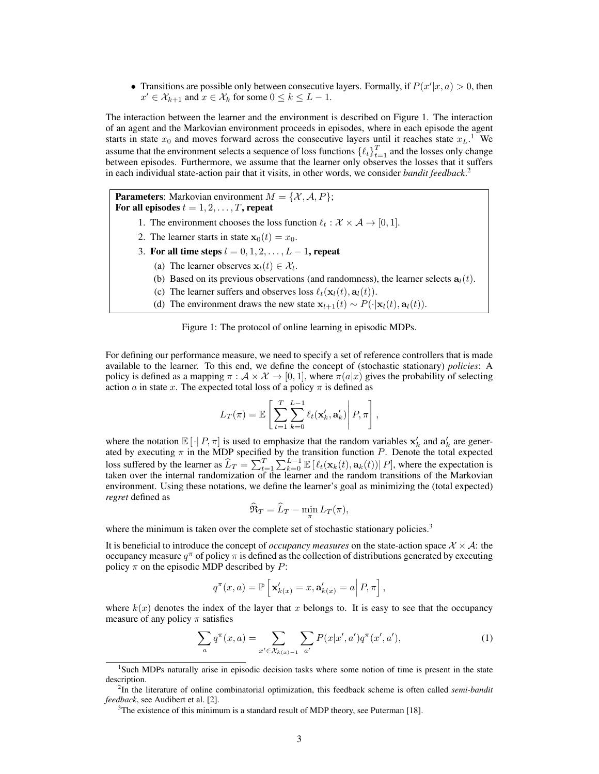• Transitions are possible only between consecutive layers. Formally, if  $P(x'|x, a) > 0$ , then  $x' \in \mathcal{X}_{k+1}$  and  $x \in \mathcal{X}_k$  for some  $0 \le k \le L-1$ .

The interaction between the learner and the environment is described on Figure 1. The interaction of an agent and the Markovian environment proceeds in episodes, where in each episode the agent starts in state  $x_0$  and moves forward across the consecutive layers until it reaches state  $x_L$ .<sup>1</sup> We assume that the environment selects a sequence of loss functions  $\{\ell_t\}_{t=1}^T$  and the losses only change between episodes. Furthermore, we assume that the learner only observes the losses that it suffers in each individual state-action pair that it visits, in other words, we consider *bandit feedback*. 2

**Parameters:** Markovian environment  $M = \{X, A, P\}$ ; For all episodes  $t = 1, 2, \ldots, T$ , repeat

- 1. The environment chooses the loss function  $\ell_t : \mathcal{X} \times \mathcal{A} \rightarrow [0, 1].$
- 2. The learner starts in state  $\mathbf{x}_0(t) = x_0$ .
- 3. For all time steps  $l = 0, 1, 2, \ldots, L 1$ , repeat
	- (a) The learner observes  $\mathbf{x}_l(t) \in \mathcal{X}_l$ .
	- (b) Based on its previous observations (and randomness), the learner selects  $a_l(t)$ .
	- (c) The learner suffers and observes loss  $\ell_t(\mathbf{x}_l(t), \mathbf{a}_l(t))$ .
	- (d) The environment draws the new state  $\mathbf{x}_{l+1}(t) \sim P(\cdot|\mathbf{x}_l(t), \mathbf{a}_l(t))$ .



For defining our performance measure, we need to specify a set of reference controllers that is made available to the learner. To this end, we define the concept of (stochastic stationary) *policies*: A policy is defined as a mapping  $\pi : \mathcal{A} \times \mathcal{X} \to [0,1]$ , where  $\pi(a|x)$  gives the probability of selecting action a in state x. The expected total loss of a policy  $\pi$  is defined as

$$
L_T(\pi) = \mathbb{E}\left[\sum_{t=1}^T \sum_{k=0}^{L-1} \ell_t(\mathbf{x}'_k, \mathbf{a}'_k) \middle| P, \pi\right],
$$

where the notation  $\mathbb{E}[\cdot]P, \pi]$  is used to emphasize that the random variables  $x'_{k}$  and  $a'_{k}$  are generwhere the hotation  $E[Y|X, n]$  is used to emphasize that the random variables  $X_k$  and  $X_k$  are generated by executing  $\pi$  in the MDP specified by the transition function P. Denote the total expected loss suffered by the learner as  $\widehat{L}_T = \sum_{t=1}^T \sum_{k=0}^{L-1} \mathbb{E} \left[ \ell_t(\mathbf{x}_k(t), \mathbf{a}_k(t)) | P \right]$ , where the expectation is taken over the internal randomization of the learner and the random transitions of the Markovian environment. Using these notations, we define the learner's goal as minimizing the (total expected) *regret* defined as

$$
\widehat{\mathfrak{R}}_T = \widehat{L}_T - \min_{\pi} L_T(\pi),
$$

where the minimum is taken over the complete set of stochastic stationary policies.<sup>3</sup>

It is beneficial to introduce the concept of *occupancy measures* on the state-action space  $\mathcal{X} \times \mathcal{A}$ : the occupancy measure  $q^{\pi}$  of policy  $\pi$  is defined as the collection of distributions generated by executing policy  $\pi$  on the episodic MDP described by P:

$$
q^{\pi}(x,a) = \mathbb{P}\left[\mathbf{x}'_{k(x)} = x, \mathbf{a}'_{k(x)} = a \middle| P, \pi \right],
$$

where  $k(x)$  denotes the index of the layer that x belongs to. It is easy to see that the occupancy measure of any policy  $\pi$  satisfies

$$
\sum_{a} q^{\pi}(x, a) = \sum_{x' \in \mathcal{X}_{k(x)-1}} \sum_{a'} P(x | x', a') q^{\pi}(x', a'), \tag{1}
$$

<sup>&</sup>lt;sup>1</sup>Such MDPs naturally arise in episodic decision tasks where some notion of time is present in the state description.

<sup>2</sup> In the literature of online combinatorial optimization, this feedback scheme is often called *semi-bandit feedback*, see Audibert et al. [2].

<sup>&</sup>lt;sup>3</sup>The existence of this minimum is a standard result of MDP theory, see Puterman [18].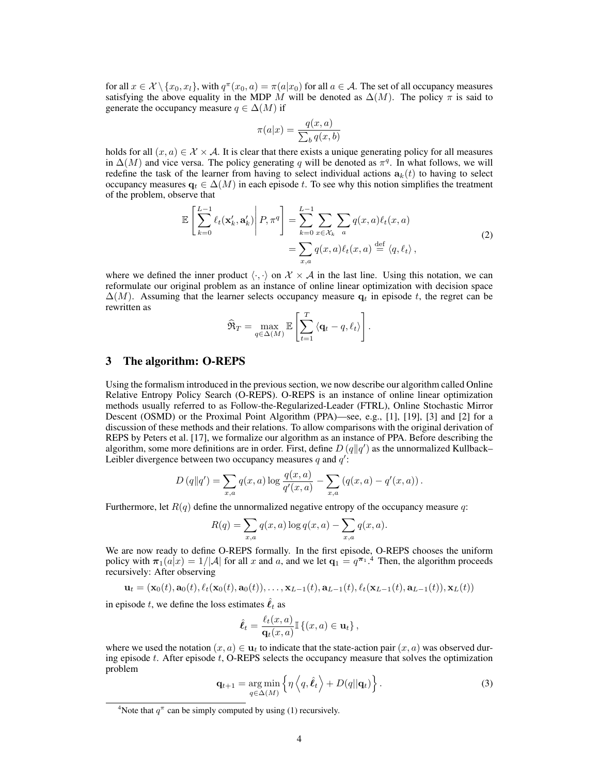for all  $x \in \mathcal{X} \setminus \{x_0, x_l\}$ , with  $q^{\pi}(x_0, a) = \pi(a|x_0)$  for all  $a \in \mathcal{A}$ . The set of all occupancy measures satisfying the above equality in the MDP M will be denoted as  $\Delta(M)$ . The policy  $\pi$  is said to generate the occupancy measure  $q \in \Delta(M)$  if

$$
\pi(a|x) = \frac{q(x,a)}{\sum_b q(x,b)}
$$

holds for all  $(x, a) \in \mathcal{X} \times \mathcal{A}$ . It is clear that there exists a unique generating policy for all measures in  $\Delta(M)$  and vice versa. The policy generating q will be denoted as  $\pi^q$ . In what follows, we will redefine the task of the learner from having to select individual actions  $a_k(t)$  to having to select occupancy measures  $q_t \in \Delta(M)$  in each episode t. To see why this notion simplifies the treatment of the problem, observe that

$$
\mathbb{E}\left[\sum_{k=0}^{L-1} \ell_t(\mathbf{x}'_k, \mathbf{a}'_k)\middle| P, \pi^q\right] = \sum_{k=0}^{L-1} \sum_{x \in \mathcal{X}_k} \sum_a q(x, a) \ell_t(x, a) \n= \sum_{x, a} q(x, a) \ell_t(x, a) \stackrel{\text{def}}{=} \langle q, \ell_t \rangle,
$$
\n(2)

where we defined the inner product  $\langle \cdot, \cdot \rangle$  on  $\mathcal{X} \times \mathcal{A}$  in the last line. Using this notation, we can reformulate our original problem as an instance of online linear optimization with decision space  $\Delta(M)$ . Assuming that the learner selects occupancy measure  $q_t$  in episode t, the regret can be rewritten as

$$
\widehat{\mathfrak{R}}_T = \max_{q \in \Delta(M)} \mathbb{E} \left[ \sum_{t=1}^T \langle \mathbf{q}_t - q, \ell_t \rangle \right].
$$

#### 3 The algorithm: O-REPS

Using the formalism introduced in the previous section, we now describe our algorithm called Online Relative Entropy Policy Search (O-REPS). O-REPS is an instance of online linear optimization methods usually referred to as Follow-the-Regularized-Leader (FTRL), Online Stochastic Mirror Descent (OSMD) or the Proximal Point Algorithm (PPA)—see, e.g., [1], [19], [3] and [2] for a discussion of these methods and their relations. To allow comparisons with the original derivation of REPS by Peters et al. [17], we formalize our algorithm as an instance of PPA. Before describing the algorithm, some more definitions are in order. First, define  $D(q||q')$  as the unnormalized Kullback– Leibler divergence between two occupancy measures q and  $q'$ :

$$
D(q||q') = \sum_{x,a} q(x,a) \log \frac{q(x,a)}{q'(x,a)} - \sum_{x,a} (q(x,a) - q'(x,a)).
$$

Furthermore, let  $R(q)$  define the unnormalized negative entropy of the occupancy measure q:

$$
R(q) = \sum_{x,a} q(x,a) \log q(x,a) - \sum_{x,a} q(x,a).
$$

We are now ready to define O-REPS formally. In the first episode, O-REPS chooses the uniform policy with  $\pi_1(a|x) = 1/|\mathcal{A}|$  for all x and a, and we let  $\mathbf{q}_1 = q^{\pi_1}$ .<sup>4</sup> Then, the algorithm proceeds recursively: After observing

$$
\mathbf{u}_t = (\mathbf{x}_0(t), \mathbf{a}_0(t), \ell_t(\mathbf{x}_0(t), \mathbf{a}_0(t)), \ldots, \mathbf{x}_{L-1}(t), \mathbf{a}_{L-1}(t), \ell_t(\mathbf{x}_{L-1}(t), \mathbf{a}_{L-1}(t)), \mathbf{x}_L(t))
$$

in episode t, we define the loss estimates  $\hat{\ell}_t$  as

$$
\hat{\ell}_t = \frac{\ell_t(x, a)}{\mathbf{q}_t(x, a)} \mathbb{I}\left\{(x, a) \in \mathbf{u}_t\right\},\
$$

where we used the notation  $(x, a) \in \mathbf{u}_t$  to indicate that the state-action pair  $(x, a)$  was observed during episode  $t$ . After episode  $t$ , O-REPS selects the occupancy measure that solves the optimization problem

$$
\mathbf{q}_{t+1} = \underset{q \in \Delta(M)}{\arg \min} \left\{ \eta \left\langle q, \hat{\ell}_t \right\rangle + D(q||\mathbf{q}_t) \right\}.
$$
 (3)

<sup>&</sup>lt;sup>4</sup>Note that  $q^{\pi}$  can be simply computed by using (1) recursively.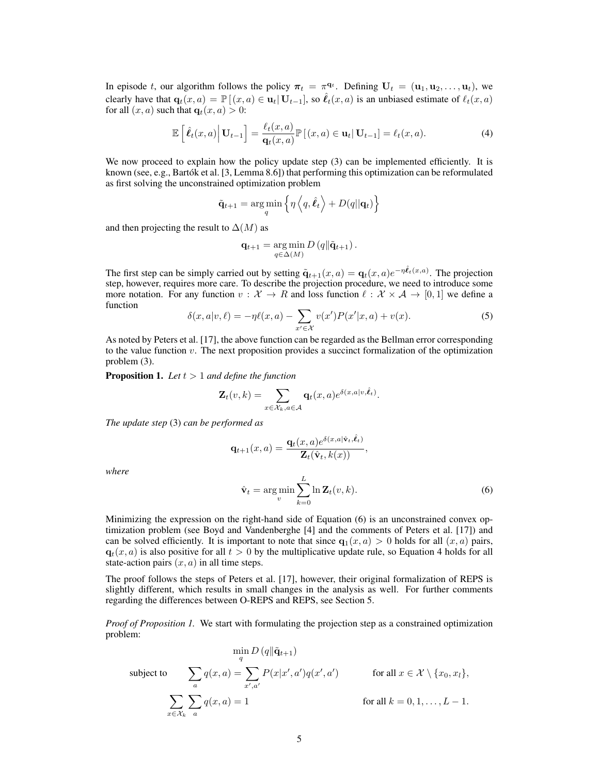In episode t, our algorithm follows the policy  $\pi_t = \pi^{q_t}$ . Defining  $U_t = (\mathbf{u}_1, \mathbf{u}_2, \dots, \mathbf{u}_t)$ , we clearly have that  $\mathbf{q}_t(x, a) = \mathbb{P}[(x, a) \in \mathbf{u}_t | \mathbf{U}_{t-1}]$ , so  $\hat{\ell}_t(x, a)$  is an unbiased estimate of  $\ell_t(x, a)$ for all  $(x, a)$  such that  $q_t(x, a) > 0$ :

$$
\mathbb{E}\left[\hat{\boldsymbol{\ell}}_t(x,a)\Big|\,\mathbf{U}_{t-1}\right] = \frac{\ell_t(x,a)}{\mathbf{q}_t(x,a)}\mathbb{P}\left[(x,a)\in\mathbf{u}_t|\,\mathbf{U}_{t-1}\right] = \ell_t(x,a). \tag{4}
$$

We now proceed to explain how the policy update step (3) can be implemented efficiently. It is known (see, e.g., Bartók et al. [3, Lemma 8.6]) that performing this optimization can be reformulated as first solving the unconstrained optimization problem

$$
\tilde{\mathbf{q}}_{t+1} = \arg\min_{q} \left\{ \eta \left\langle q, \hat{\boldsymbol{\ell}}_t \right\rangle + D(q||\mathbf{q}_t) \right\}
$$

and then projecting the result to  $\Delta(M)$  as

$$
\mathbf{q}_{t+1} = \underset{q \in \Delta(M)}{\arg \min} D\left(q \| \tilde{\mathbf{q}}_{t+1}\right).
$$

The first step can be simply carried out by setting  $\tilde{\mathbf{q}}_{t+1}(x, a) = \mathbf{q}_t(x, a)e^{-\eta \hat{\ell}_t(x, a)}$ . The projection step, however, requires more care. To describe the projection procedure, we need to introduce some more notation. For any function  $v : \mathcal{X} \to R$  and loss function  $\ell : \mathcal{X} \times \mathcal{A} \to [0, 1]$  we define a function

$$
\delta(x, a|v, \ell) = -\eta \ell(x, a) - \sum_{x' \in \mathcal{X}} v(x') P(x'|x, a) + v(x). \tag{5}
$$

As noted by Peters et al. [17], the above function can be regarded as the Bellman error corresponding to the value function v. The next proposition provides a succinct formalization of the optimization problem (3).

**Proposition 1.** Let  $t > 1$  and define the function

$$
\mathbf{Z}_{t}(v,k) = \sum_{x \in \mathcal{X}_{k}, a \in \mathcal{A}} \mathbf{q}_{t}(x,a) e^{\delta(x,a|v,\hat{\ell}_{t})}.
$$

*The update step* (3) *can be performed as*

$$
\mathbf{q}_{t+1}(x,a) = \frac{\mathbf{q}_t(x,a)e^{\delta(x,a|\hat{\mathbf{v}}_t,\hat{\boldsymbol{\ell}}_t)}}{\mathbf{Z}_t(\hat{\mathbf{v}}_t,k(x))},
$$

*where*

$$
\hat{\mathbf{v}}_t = \arg\min_{v} \sum_{k=0}^{L} \ln \mathbf{Z}_t(v, k).
$$
\n(6)

Minimizing the expression on the right-hand side of Equation (6) is an unconstrained convex optimization problem (see Boyd and Vandenberghe [4] and the comments of Peters et al. [17]) and can be solved efficiently. It is important to note that since  $q_1(x, a) > 0$  holds for all  $(x, a)$  pairs,  $q_t(x, a)$  is also positive for all  $t > 0$  by the multiplicative update rule, so Equation 4 holds for all state-action pairs  $(x, a)$  in all time steps.

The proof follows the steps of Peters et al. [17], however, their original formalization of REPS is slightly different, which results in small changes in the analysis as well. For further comments regarding the differences between O-REPS and REPS, see Section 5.

*Proof of Proposition 1.* We start with formulating the projection step as a constrained optimization problem:

$$
\min_{q} D(q||\tilde{\mathbf{q}}_{t+1})
$$
\nsubject to\n
$$
\sum_{a} q(x, a) = \sum_{x', a'} P(x|x', a')q(x', a')
$$
\nfor all  $x \in \mathcal{X} \setminus \{x_0, x_l\},$ \n
$$
\sum_{x \in \mathcal{X}_k} \sum_{a} q(x, a) = 1
$$
\nfor all  $k = 0, 1, ..., L - 1$ .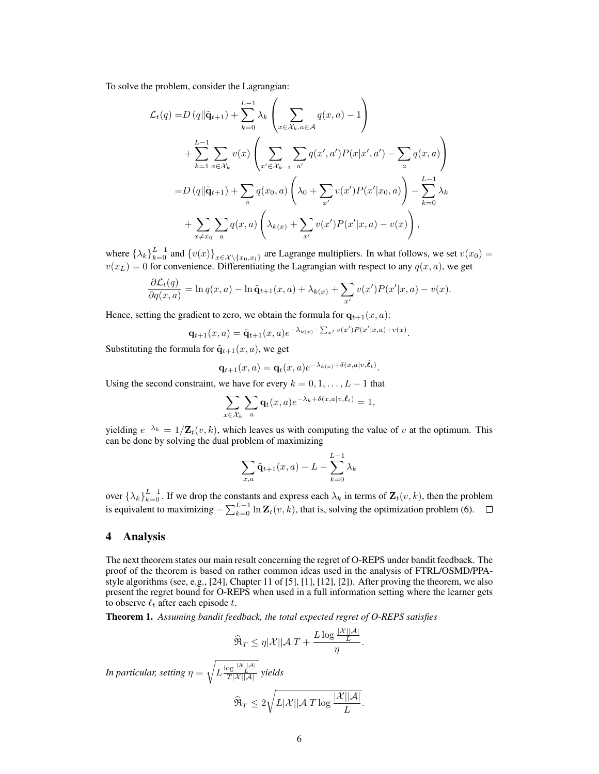To solve the problem, consider the Lagrangian:

$$
\mathcal{L}_{t}(q) = D (q \|\tilde{\mathbf{q}}_{t+1}) + \sum_{k=0}^{L-1} \lambda_{k} \left( \sum_{x \in \mathcal{X}_{k}, a \in \mathcal{A}} q(x, a) - 1 \right) \n+ \sum_{k=1}^{L-1} \sum_{x \in \mathcal{X}_{k}} v(x) \left( \sum_{x' \in \mathcal{X}_{k-1}} \sum_{a'} q(x', a') P(x | x', a') - \sum_{a} q(x, a) \right) \n= D (q \|\tilde{\mathbf{q}}_{t+1}) + \sum_{a} q(x_{0}, a) \left( \lambda_{0} + \sum_{x'} v(x') P(x' | x_{0}, a) \right) - \sum_{k=0}^{L-1} \lambda_{k} \n+ \sum_{x \neq x_{0}} \sum_{a} q(x, a) \left( \lambda_{k(x)} + \sum_{x'} v(x') P(x' | x, a) - v(x) \right),
$$

where  $\{\lambda_k\}_{k=0}^{L-1}$  and  $\{v(x)\}_{x \in \mathcal{X} \setminus \{x_0, x_l\}}$  are Lagrange multipliers. In what follows, we set  $v(x_0)$  =  $v(x_L) = 0$  for convenience. Differentiating the Lagrangian with respect to any  $q(x, a)$ , we get

$$
\frac{\partial \mathcal{L}_t(q)}{\partial q(x,a)} = \ln q(x,a) - \ln \tilde{q}_{t+1}(x,a) + \lambda_{k(x)} + \sum_{x'} v(x')P(x'|x,a) - v(x).
$$

Hence, setting the gradient to zero, we obtain the formula for  $q_{t+1}(x, a)$ :

$$
\mathbf{q}_{t+1}(x,a) = \tilde{\mathbf{q}}_{t+1}(x,a)e^{-\lambda_{k(x)} - \sum_{x'} v(x')P(x'|x,a) + v(x)}.
$$

Substituting the formula for  $\tilde{\mathbf{q}}_{t+1}(x, a)$ , we get

$$
\mathbf{q}_{t+1}(x,a) = \mathbf{q}_t(x,a)e^{-\lambda_{k(x)} + \delta(x,a|v,\hat{\boldsymbol{\ell}}_t)}.
$$

Using the second constraint, we have for every  $k = 0, 1, \ldots, L - 1$  that

$$
\sum_{x \in \mathcal{X}_k} \sum_a \mathbf{q}_t(x, a) e^{-\lambda_k + \delta(x, a|v, \hat{\ell}_t)} = 1,
$$

yielding  $e^{-\lambda_k} = 1/\mathbf{Z}_t(v, k)$ , which leaves us with computing the value of v at the optimum. This can be done by solving the dual problem of maximizing

$$
\sum_{x,a} \tilde{\mathbf{q}}_{t+1}(x,a) - L - \sum_{k=0}^{L-1} \lambda_k
$$

over  $\{\lambda_k\}_{k=0}^{L-1}$ . If we drop the constants and express each  $\lambda_k$  in terms of  $\mathbf{Z}_t(v,k)$ , then the problem is equivalent to maximizing  $-\sum_{k=0}^{L-1} \ln \mathbf{Z}_t(v,k)$ , that is, solving the optimization problem (6).

#### 4 Analysis

The next theorem states our main result concerning the regret of O-REPS under bandit feedback. The proof of the theorem is based on rather common ideas used in the analysis of FTRL/OSMD/PPAstyle algorithms (see, e.g.,  $[24]$ , Chapter 11 of [5],  $[1]$ ,  $[12]$ ,  $[2]$ ). After proving the theorem, we also present the regret bound for O-REPS when used in a full information setting where the learner gets to observe  $\ell_t$  after each episode t.

Theorem 1. *Assuming bandit feedback, the total expected regret of O-REPS satisfies*

$$
\widehat{\Re}_T \leq \eta |\mathcal{X}||\mathcal{A}|T + \frac{L \log \frac{|\mathcal{X}||\mathcal{A}|}{L}}{\eta}.
$$

*In particular, setting* η = <sup>1</sup>  $L \frac{\log \frac{|\mathcal{X}||\mathcal{A}|}{L}}{T|\mathcal{X}||\mathcal{A}|}$  yields

$$
\widehat{\mathfrak{R}}_T \leq 2\sqrt{L|\mathcal{X}||\mathcal{A}|T\log\frac{|\mathcal{X}||\mathcal{A}|}{L}}.
$$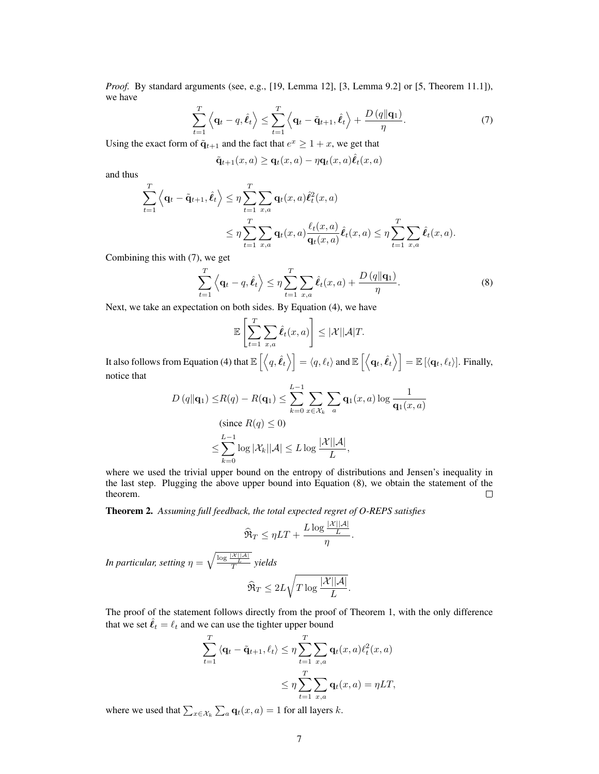*Proof.* By standard arguments (see, e.g., [19, Lemma 12], [3, Lemma 9.2] or [5, Theorem 11.1]), we have

$$
\sum_{t=1}^{T} \left\langle \mathbf{q}_t - q, \hat{\boldsymbol{\ell}}_t \right\rangle \leq \sum_{t=1}^{T} \left\langle \mathbf{q}_t - \tilde{\mathbf{q}}_{t+1}, \hat{\boldsymbol{\ell}}_t \right\rangle + \frac{D\left(q \|\mathbf{q}_1\right)}{\eta}.\tag{7}
$$

Using the exact form of  $\tilde{\mathbf{q}}_{t+1}$  and the fact that  $e^x \ge 1 + x$ , we get that

$$
\tilde{\mathbf{q}}_{t+1}(x,a) \ge \mathbf{q}_t(x,a) - \eta \mathbf{q}_t(x,a)\hat{\mathbf{\ell}}_t(x,a)
$$

and thus

$$
\sum_{t=1}^T \left\langle \mathbf{q}_t - \tilde{\mathbf{q}}_{t+1}, \hat{\ell}_t \right\rangle \leq \eta \sum_{t=1}^T \sum_{x,a} \mathbf{q}_t(x,a) \hat{\ell}_t^2(x,a) \n\leq \eta \sum_{t=1}^T \sum_{x,a} \mathbf{q}_t(x,a) \frac{\ell_t(x,a)}{\mathbf{q}_t(x,a)} \hat{\ell}_t(x,a) \leq \eta \sum_{t=1}^T \sum_{x,a} \hat{\ell}_t(x,a).
$$

Combining this with (7), we get

$$
\sum_{t=1}^{T} \left\langle \mathbf{q}_t - q, \hat{\boldsymbol{\ell}}_t \right\rangle \leq \eta \sum_{t=1}^{T} \sum_{x,a} \hat{\boldsymbol{\ell}}_t(x,a) + \frac{D\left(q \|\mathbf{q}_1\right)}{\eta}.
$$
\n(8)

Next, we take an expectation on both sides. By Equation (4), we have

$$
\mathbb{E}\left[\sum_{t=1}^T \sum_{x,a} \hat{\ell}_t(x,a)\right] \leq |\mathcal{X}||\mathcal{A}|T.
$$

It also follows from Equation (4) that  $\mathbb{E}\left[\left\langle q, \hat{\ell}_t \right\rangle\right] = \left\langle q, \ell_t \right\rangle$  and  $\mathbb{E}\left[\left\langle \mathbf{q}_t, \hat{\ell}_t \right\rangle\right] = \mathbb{E}\left[\left\langle \mathbf{q}_t, \ell_t \right\rangle\right]$ . Finally, notice that

$$
D(q||\mathbf{q}_1) \leq R(q) - R(\mathbf{q}_1) \leq \sum_{k=0}^{L-1} \sum_{x \in \mathcal{X}_k} \sum_a \mathbf{q}_1(x, a) \log \frac{1}{\mathbf{q}_1(x, a)}
$$
  
(since  $R(q) \leq 0$ )  

$$
\leq \sum_{k=0}^{L-1} \log |\mathcal{X}_k||\mathcal{A}| \leq L \log \frac{|\mathcal{X}||\mathcal{A}|}{L},
$$

where we used the trivial upper bound on the entropy of distributions and Jensen's inequality in the last step. Plugging the above upper bound into Equation (8), we obtain the statement of the theorem.  $\Box$ 

Theorem 2. *Assuming full feedback, the total expected regret of O-REPS satisfies*

$$
\widehat{\mathfrak{R}}_T \leq \eta LT + \frac{L \log \frac{|\mathcal{X}||\mathcal{A}|}{L}}{\eta}.
$$

*In particular, setting*  $\eta = \sqrt{\frac{\log \frac{|\mathcal{X}||\mathcal{A}|}{L}}{T}}$  yields

$$
\widehat{\Re}_T \leq 2L \sqrt{T \log \frac{|\mathcal{X}||\mathcal{A}|}{L}}.
$$

The proof of the statement follows directly from the proof of Theorem 1, with the only difference that we set  $\hat{\ell}_t = \ell_t$  and we can use the tighter upper bound

$$
\sum_{t=1}^{T} \langle \mathbf{q}_t - \tilde{\mathbf{q}}_{t+1}, \ell_t \rangle \leq \eta \sum_{t=1}^{T} \sum_{x,a} \mathbf{q}_t(x,a) \ell_t^2(x,a)
$$

$$
\leq \eta \sum_{t=1}^{T} \sum_{x,a} \mathbf{q}_t(x,a) = \eta LT,
$$

where we used that  $\sum_{x \in \mathcal{X}_k} \sum_a \mathbf{q}_t(x, a) = 1$  for all layers k.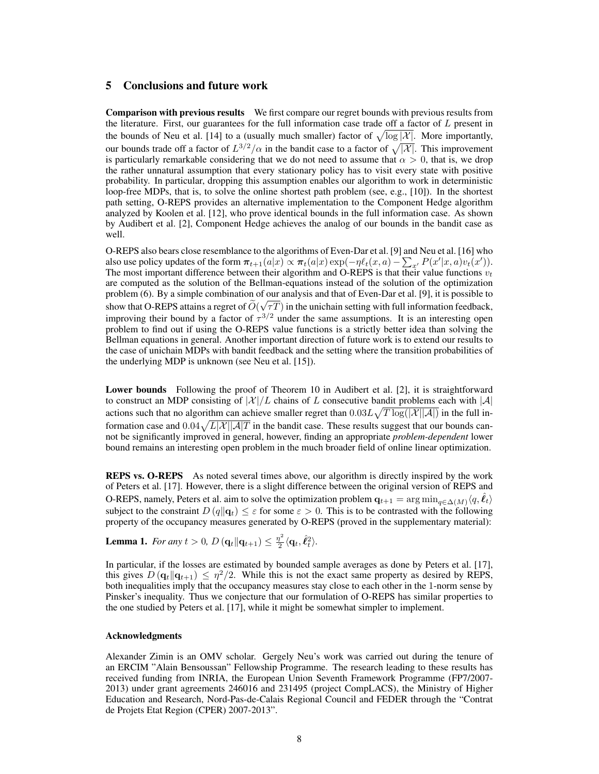### 5 Conclusions and future work

Comparison with previous results We first compare our regret bounds with previous results from the literature. First, our guarantees for the full information case trade off a factor of  $L$  present in the bounds of Neu et al. [14] to a (usually much smaller) factor of  $\sqrt{\log |\mathcal{X}|}$ . More importantly, our bounds trade off a factor of  $L^{3/2}/\alpha$  in the bandit case to a factor of  $\sqrt{|\mathcal{X}|}$ . This improvement is particularly remarkable considering that we do not need to assume that  $\alpha > 0$ , that is, we drop the rather unnatural assumption that every stationary policy has to visit every state with positive probability. In particular, dropping this assumption enables our algorithm to work in deterministic loop-free MDPs, that is, to solve the online shortest path problem (see, e.g., [10]). In the shortest path setting, O-REPS provides an alternative implementation to the Component Hedge algorithm analyzed by Koolen et al. [12], who prove identical bounds in the full information case. As shown by Audibert et al. [2], Component Hedge achieves the analog of our bounds in the bandit case as well.

O-REPS also bears close resemblance to the algorithms of Even-Dar et al. [9] and Neu et al. [16] who also use policy updates of the form  $\pi_{t+1}(a|x) \propto \pi_t(a|x) \exp(-\eta \ell_t(x, a) - \sum_{x'} P(x'|x, a)v_t(x'))$ . The most important difference between their algorithm and O-REPS is that their value functions  $v_t$ are computed as the solution of the Bellman-equations instead of the solution of the optimization problem (6). By a simple combination of our analysis and that of Even-Dar et al. [9], it is possible to show that O-REPS attains a regret of  $O(\sqrt{\tau})$  in the unichain setting with full information feedback, improving their bound by a factor of  $\tau^{3/2}$  under the same assumptions. It is an interesting open problem to find out if using the O-REPS value functions is a strictly better idea than solving the Bellman equations in general. Another important direction of future work is to extend our results to the case of unichain MDPs with bandit feedback and the setting where the transition probabilities of the underlying MDP is unknown (see Neu et al. [15]).

Lower bounds Following the proof of Theorem 10 in Audibert et al. [2], it is straightforward to construct an MDP consisting of  $|\mathcal{X}|/L$  chains of L consecutive bandit problems each with  $|\mathcal{A}|$ actions such that no algorithm can achieve smaller regret than  $0.03L\sqrt{T\log(|\mathcal{X}||\mathcal{A}|)}$  in the full information case and  $0.04\sqrt{L|\mathcal{X}||\mathcal{A}|T}$  in the bandit case. These results suggest that our bounds cannot be significantly improved in general, however, finding an appropriate *problem-dependent* lower bound remains an interesting open problem in the much broader field of online linear optimization.

REPS vs. O-REPS As noted several times above, our algorithm is directly inspired by the work of Peters et al. [17]. However, there is a slight difference between the original version of REPS and O-REPS, namely, Peters et al. aim to solve the optimization problem  $q_{t+1} = \arg \min_{q \in \Delta(M)} \langle q, \hat{\ell}_t \rangle$ subject to the constraint  $D(q||q_t) \leq \varepsilon$  for some  $\varepsilon > 0$ . This is to be contrasted with the following property of the occupancy measures generated by O-REPS (proved in the supplementary material):

**Lemma 1.** For any  $t > 0$ ,  $D(\mathbf{q}_t || \mathbf{q}_{t+1}) \leq \frac{\eta^2}{2}$  $\frac{\eta^2}{2} \langle \mathbf{q}_t, \hat{\ell}_t^2 \rangle.$ 

In particular, if the losses are estimated by bounded sample averages as done by Peters et al. [17], this gives  $D(\mathbf{q}_t||\mathbf{q}_{t+1}) \leq \eta^2/2$ . While this is not the exact same property as desired by REPS, both inequalities imply that the occupancy measures stay close to each other in the 1-norm sense by Pinsker's inequality. Thus we conjecture that our formulation of O-REPS has similar properties to the one studied by Peters et al. [17], while it might be somewhat simpler to implement.

#### Acknowledgments

Alexander Zimin is an OMV scholar. Gergely Neu's work was carried out during the tenure of an ERCIM "Alain Bensoussan" Fellowship Programme. The research leading to these results has received funding from INRIA, the European Union Seventh Framework Programme (FP7/2007- 2013) under grant agreements 246016 and 231495 (project CompLACS), the Ministry of Higher Education and Research, Nord-Pas-de-Calais Regional Council and FEDER through the "Contrat de Projets Etat Region (CPER) 2007-2013".